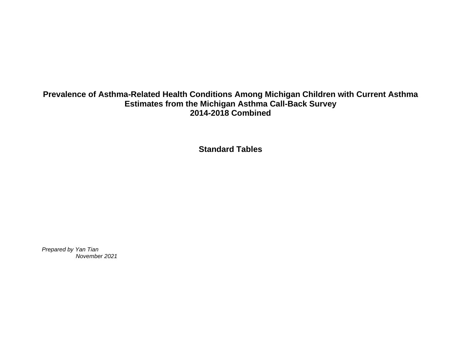## **Prevalence of Asthma-Related Health Conditions Among Michigan Children with Current Asthma Estimates from the Michigan Asthma Call-Back Survey 2014-2018 Combined**

**Standard Tables**

*Prepared by Yan Tian November 2021*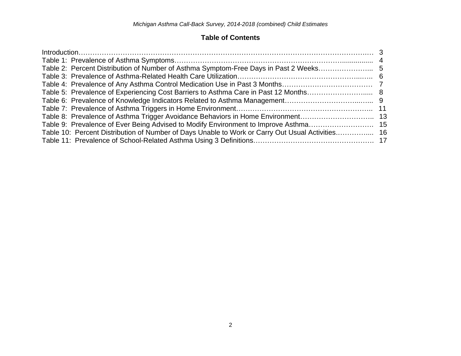## **Table of Contents**

| Introduction. 3                                                                                  |  |
|--------------------------------------------------------------------------------------------------|--|
|                                                                                                  |  |
|                                                                                                  |  |
|                                                                                                  |  |
|                                                                                                  |  |
|                                                                                                  |  |
|                                                                                                  |  |
|                                                                                                  |  |
|                                                                                                  |  |
|                                                                                                  |  |
| Table 10: Percent Distribution of Number of Days Unable to Work or Carry Out Usual Activities 16 |  |
|                                                                                                  |  |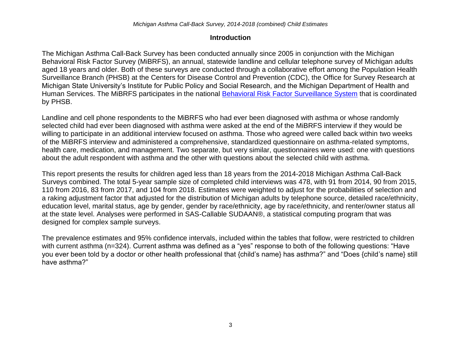## **Introduction**

The Michigan Asthma Call-Back Survey has been conducted annually since 2005 in conjunction with the Michigan Behavioral Risk Factor Survey (MiBRFS), an annual, statewide landline and cellular telephone survey of Michigan adults aged 18 years and older. Both of these surveys are conducted through a collaborative effort among the Population Health Surveillance Branch (PHSB) at the Centers for Disease Control and Prevention (CDC), the Office for Survey Research at Michigan State University's Institute for Public Policy and Social Research, and the Michigan Department of Health and Human Services. The MiBRFS participates in the national [Behavioral Risk Factor Surveillance System](http://www.cdc.gov/brfss/) that is coordinated by PHSB.

Landline and cell phone respondents to the MiBRFS who had ever been diagnosed with asthma or whose randomly selected child had ever been diagnosed with asthma were asked at the end of the MiBRFS interview if they would be willing to participate in an additional interview focused on asthma. Those who agreed were called back within two weeks of the MiBRFS interview and administered a comprehensive, standardized questionnaire on asthma-related symptoms, health care, medication, and management. Two separate, but very similar, questionnaires were used: one with questions about the adult respondent with asthma and the other with questions about the selected child with asthma.

This report presents the results for children aged less than 18 years from the 2014-2018 Michigan Asthma Call-Back Surveys combined. The total 5-year sample size of completed child interviews was 478, with 91 from 2014, 90 from 2015, 110 from 2016, 83 from 2017, and 104 from 2018. Estimates were weighted to adjust for the probabilities of selection and a raking adjustment factor that adjusted for the distribution of Michigan adults by telephone source, detailed race/ethnicity, education level, marital status, age by gender, gender by race/ethnicity, age by race/ethnicity, and renter/owner status all at the state level. Analyses were performed in SAS-Callable SUDAAN®, a statistical computing program that was designed for complex sample surveys.

The prevalence estimates and 95% confidence intervals, included within the tables that follow, were restricted to children with current asthma (n=324). Current asthma was defined as a "yes" response to both of the following questions: "Have you ever been told by a doctor or other health professional that {child's name} has asthma?" and "Does {child's name} still have asthma?"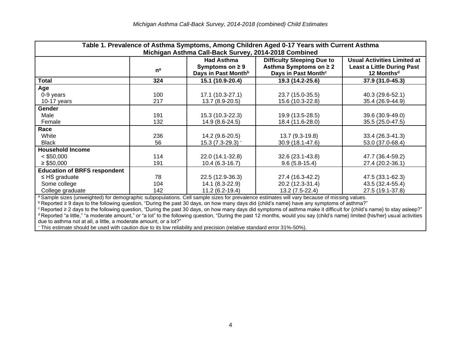| Table 1. Prevalence of Asthma Symptoms, Among Children Aged 0-17 Years with Current Asthma                                                  |       |                                 |                                   |                                    |  |
|---------------------------------------------------------------------------------------------------------------------------------------------|-------|---------------------------------|-----------------------------------|------------------------------------|--|
| Michigan Asthma Call-Back Survey, 2014-2018 Combined                                                                                        |       |                                 |                                   |                                    |  |
|                                                                                                                                             |       | <b>Had Asthma</b>               | <b>Difficulty Sleeping Due to</b> | <b>Usual Activities Limited at</b> |  |
|                                                                                                                                             | $n^a$ | Symptoms on $\geq 9$            | Asthma Symptoms on ≥ 2            | <b>Least a Little During Past</b>  |  |
|                                                                                                                                             |       | Days in Past Month <sup>b</sup> | Days in Past Month <sup>c</sup>   | 12 Months <sup>d</sup>             |  |
| Total                                                                                                                                       | 324   | 15.1 (10.9-20.4)                | 19.3 (14.2-25.6)                  | 37.9 (31.0-45.3)                   |  |
| Age                                                                                                                                         |       |                                 |                                   |                                    |  |
| 0-9 years                                                                                                                                   | 100   | 17.1 (10.3-27.1)                | 23.7 (15.0-35.5)                  | 40.3 (29.6-52.1)                   |  |
| 10-17 years                                                                                                                                 | 217   | 13.7 (8.9-20.5)                 | 15.6 (10.3-22.8)                  | 35.4 (26.9-44.9)                   |  |
| <b>Gender</b>                                                                                                                               |       |                                 |                                   |                                    |  |
| Male                                                                                                                                        | 191   | 15.3 (10.3-22.3)                | 19.9 (13.5-28.5)                  | 39.6 (30.9-49.0)                   |  |
| Female                                                                                                                                      | 132   | 14.9 (8.6-24.5)                 | 18.4 (11.6-28.0)                  | 35.5 (25.0-47.5)                   |  |
| Race                                                                                                                                        |       |                                 |                                   |                                    |  |
| White                                                                                                                                       | 236   | 14.2 (9.6-20.5)                 | 13.7 (9.3-19.8)                   | 33.4 (26.3-41.3)                   |  |
| <b>Black</b>                                                                                                                                | 56    | 15.3 $(7.3-29.3)$ ~             | 30.9 (18.1-47.6)                  | 53.0 (37.0-68.4)                   |  |
| <b>Household Income</b>                                                                                                                     |       |                                 |                                   |                                    |  |
| $<$ \$50,000                                                                                                                                | 114   | 22.0 (14.1-32.8)                | 32.6 (23.1-43.8)                  | 47.7 (36.4-59.2)                   |  |
| $\geq$ \$50,000                                                                                                                             | 191   | $10.4(6.3-16.7)$                | $9.6(5.8-15.4)$                   | 27.4 (20.2-36.1)                   |  |
| <b>Education of BRFS respondent</b>                                                                                                         |       |                                 |                                   |                                    |  |
| $\leq$ HS graduate                                                                                                                          | 78    | 22.5 (12.9-36.3)                | 27.4 (16.3-42.2)                  | 47.5 (33.1-62.3)                   |  |
| Some college                                                                                                                                | 104   | 14.1 (8.3-22.9)                 | 20.2 (12.3-31.4)                  | 43.5 (32.4-55.4)                   |  |
| College graduate                                                                                                                            | 142   | 11.2 (6.2-19.4)                 | 13.2 (7.5-22.4)                   | 27.5 (19.1-37.8)                   |  |
| a Sample sizes (unweighted) for demographic subpopulations. Cell sample sizes for prevalence estimates will vary because of missing values. |       |                                 |                                   |                                    |  |

<sup>b</sup> Reported ≥ 9 days to the following question, "During the past 30 days, on how many days did {child's name} have any symptoms of asthma?"

<sup>c</sup> Reported ≥ 2 days to the following question, "During the past 30 days, on how many days did symptoms of asthma make it difficult for {child's name} to stay asleep?" <sup>d</sup> Reported "a little," "a moderate amount," or "a lot" to the following question, "During the past 12 months, would you say {child's name} limited {his/her} usual activities due to asthma not at all, a little, a moderate amount, or a lot?"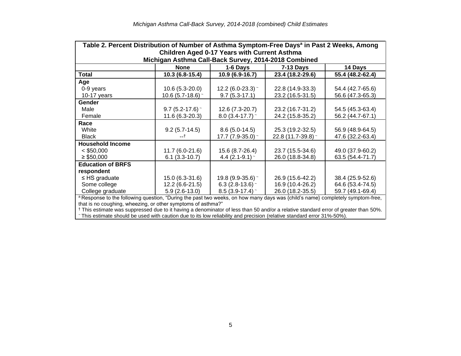| Table 2. Percent Distribution of Number of Asthma Symptom-Free Days <sup>a</sup> in Past 2 Weeks, Among                                   |                                                      |                                                     |                    |                  |  |  |  |  |  |
|-------------------------------------------------------------------------------------------------------------------------------------------|------------------------------------------------------|-----------------------------------------------------|--------------------|------------------|--|--|--|--|--|
|                                                                                                                                           |                                                      | <b>Children Aged 0-17 Years with Current Asthma</b> |                    |                  |  |  |  |  |  |
|                                                                                                                                           | Michigan Asthma Call-Back Survey, 2014-2018 Combined |                                                     |                    |                  |  |  |  |  |  |
|                                                                                                                                           | <b>None</b>                                          | 1-6 Days<br><b>7-13 Days</b><br>14 Days             |                    |                  |  |  |  |  |  |
| <b>Total</b>                                                                                                                              | 10.3 (6.8-15.4)                                      | 10.9 (6.9-16.7)                                     | 23.4 (18.2-29.6)   | 55.4 (48.2-62.4) |  |  |  |  |  |
| Age                                                                                                                                       |                                                      |                                                     |                    |                  |  |  |  |  |  |
| 0-9 years                                                                                                                                 | $10.6(5.3-20.0)$                                     | 12.2 (6.0-23.3) $\sim$                              | 22.8 (14.9-33.3)   | 54.4 (42.7-65.6) |  |  |  |  |  |
| 10-17 years                                                                                                                               | 10.6 $(5.7-18.6)$ ~                                  | $9.7(5.3-17.1)$                                     | 23.2 (16.5-31.5)   | 56.6 (47.3-65.3) |  |  |  |  |  |
| <b>Gender</b>                                                                                                                             |                                                      |                                                     |                    |                  |  |  |  |  |  |
| Male                                                                                                                                      | 9.7 (5.2-17.6) $\sim$                                | 12.6 (7.3-20.7)                                     | 23.2 (16.7-31.2)   | 54.5 (45.3-63.4) |  |  |  |  |  |
| Female                                                                                                                                    | 11.6 (6.3-20.3)                                      | $8.0$ (3.4-17.7) $\sim$                             | 24.2 (15.8-35.2)   | 56.2 (44.7-67.1) |  |  |  |  |  |
| Race                                                                                                                                      |                                                      |                                                     |                    |                  |  |  |  |  |  |
| White                                                                                                                                     | $9.2(5.7-14.5)$                                      | $8.6(5.0-14.5)$                                     | 25.3 (19.2-32.5)   | 56.9 (48.9-64.5) |  |  |  |  |  |
| <b>Black</b>                                                                                                                              |                                                      | 17.7 $(7.9-35.0)$ ~                                 | 22.8 (11.7-39.8) ~ | 47.6 (32.2-63.4) |  |  |  |  |  |
| <b>Household Income</b>                                                                                                                   |                                                      |                                                     |                    |                  |  |  |  |  |  |
| $<$ \$50,000                                                                                                                              | $11.7(6.0-21.6)$                                     | 15.6 (8.7-26.4)                                     | 23.7 (15.5-34.6)   | 49.0 (37.9-60.2) |  |  |  |  |  |
| $\geq$ \$50,000                                                                                                                           | $6.1(3.3-10.7)$                                      | 4.4 $(2.1 - 9.1)$ ~                                 | 26.0 (18.8-34.8)   | 63.5 (54.4-71.7) |  |  |  |  |  |
| <b>Education of BRFS</b>                                                                                                                  |                                                      |                                                     |                    |                  |  |  |  |  |  |
| respondent                                                                                                                                |                                                      |                                                     |                    |                  |  |  |  |  |  |
| $\leq$ HS graduate                                                                                                                        | 15.0 (6.3-31.6)                                      | 19.8 (9.9-35.6) $\degree$                           | 26.9 (15.6-42.2)   | 38.4 (25.9-52.6) |  |  |  |  |  |
| Some college                                                                                                                              | 12.2 (6.6-21.5)                                      | 6.3 (2.8-13.6) $\sim$                               | 16.9 (10.4-26.2)   | 64.6 (53.4-74.5) |  |  |  |  |  |
| College graduate                                                                                                                          | $5.9(2.6-13.0)$                                      | 8.5 (3.9-17.4) $\degree$                            | 26.0 (18.2-35.5)   | 59.7 (49.1-69.4) |  |  |  |  |  |
| <sup>a</sup> Response to the following question, "During the past two weeks, on how many days was {child's name} completely symptom-free, |                                                      |                                                     |                    |                  |  |  |  |  |  |
| that is no coughing, wheezing, or other symptoms of asthma?"                                                                              |                                                      |                                                     |                    |                  |  |  |  |  |  |

† This estimate was suppressed due to it having a denominator of less than 50 and/or a relative standard error of greater than 50%. <sup>~</sup>This estimate should be used with caution due to its low reliability and precision (relative standard error 31%-50%).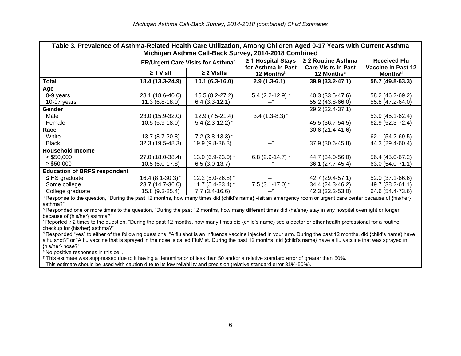| Table 3. Prevalence of Asthma-Related Health Care Utilization, Among Children Aged 0-17 Years with Current Asthma<br>Michigan Asthma Call-Back Survey, 2014-2018 Combined |                        |                                                     |                                               |                                                       |                                                  |  |
|---------------------------------------------------------------------------------------------------------------------------------------------------------------------------|------------------------|-----------------------------------------------------|-----------------------------------------------|-------------------------------------------------------|--------------------------------------------------|--|
|                                                                                                                                                                           |                        | <b>ER/Urgent Care Visits for Asthma<sup>a</sup></b> | $\geq$ 1 Hospital Stays<br>for Asthma in Past | $\geq$ 2 Routine Asthma<br><b>Care Visits in Past</b> | <b>Received Flu</b><br><b>Vaccine in Past 12</b> |  |
|                                                                                                                                                                           | $\geq$ 1 Visit         | $\geq$ 2 Visits                                     | 12 Months <sup>b</sup>                        | 12 Months <sup>c</sup>                                | <b>Monthsd</b>                                   |  |
| Total                                                                                                                                                                     | 18.4 (13.3-24.9)       | $10.1(6.3-16.0)$                                    | $2.9(1.3-6.1)$ <sup>-</sup>                   | 39.9 (33.2-47.1)                                      | 56.7 (49.8-63.3)                                 |  |
| Age                                                                                                                                                                       |                        |                                                     |                                               |                                                       |                                                  |  |
| 0-9 years                                                                                                                                                                 | 28.1 (18.6-40.0)       | 15.5 (8.2-27.2)                                     | 5.4 $(2.2 - 12.9)$                            | 40.3 (33.5-47.6)                                      | 58.2 (46.2-69.2)                                 |  |
| 10-17 years                                                                                                                                                               | $11.3(6.8-18.0)$       | 6.4 $(3.3-12.1)$ ~                                  | --T                                           | 55.2 (43.8-66.0)                                      | 55.8 (47.2-64.0)                                 |  |
| Gender                                                                                                                                                                    |                        |                                                     |                                               | 29.2 (22.4-37.1)                                      |                                                  |  |
| Male                                                                                                                                                                      | 23.0 (15.9-32.0)       | $12.9(7.5-21.4)$                                    | $3.4$ (1.3-8.3) ~                             |                                                       | 53.9 (45.1-62.4)                                 |  |
| Female                                                                                                                                                                    | $10.5(5.9-18.0)$       | 5.4 $(2.3-12.2)$ ~                                  | --T                                           | 45.5 (36.7-54.5)                                      | 62.9 (52.3-72.4)                                 |  |
| Race                                                                                                                                                                      |                        |                                                     |                                               | 30.6 (21.4-41.6)                                      |                                                  |  |
| White                                                                                                                                                                     | 13.7 (8.7-20.8)        | $7.2$ (3.8-13.3) ~                                  | $-1$                                          |                                                       | 62.1 (54.2-69.5)                                 |  |
| <b>Black</b>                                                                                                                                                              | 32.3 (19.5-48.3)       | 19.9 (9.8-36.3) ~                                   | --†                                           | 37.9 (30.6-45.8)                                      | 44.3 (29.4-60.4)                                 |  |
| <b>Household Income</b>                                                                                                                                                   |                        |                                                     |                                               |                                                       |                                                  |  |
| $<$ \$50,000                                                                                                                                                              | 27.0 (18.0-38.4)       | 13.0 $(6.9-23.0)$ ~                                 | 6.8 (2.9-14.7) $\sim$                         | 44.7 (34.0-56.0)                                      | 56.4 (45.0-67.2)                                 |  |
| $\geq$ \$50,000                                                                                                                                                           | $10.5(6.0-17.8)$       | 6.5 (3.0-13.7) $\sim$                               | t                                             | 36.1 (27.7-45.4)                                      | 63.0 (54.0-71.1)                                 |  |
| <b>Education of BRFS respondent</b>                                                                                                                                       |                        |                                                     |                                               |                                                       |                                                  |  |
| $\leq$ HS graduate                                                                                                                                                        | 16.4 (8.1-30.3) $\sim$ | 12.2 (5.0-26.8) $\degree$                           | --†                                           | 42.7 (29.4-57.1)                                      | 52.0 (37.1-66.6)                                 |  |
| Some college                                                                                                                                                              | 23.7 (14.7-36.0)       | 11.7 $(5.4-23.4)$ ~                                 | 7.5 $(3.1 - 17.0)$ ~                          | 34.4 (24.3-46.2)                                      | 49.7 (38.2-61.1)                                 |  |
| College graduate                                                                                                                                                          | 15.8 (9.3-25.4)        | 7.7 $(3.4 - 16.6)$ ~                                | $-$ e                                         | 42.3 (32.2-53.0)                                      | 64.6 (54.4-73.6)                                 |  |

<sup>a</sup> Response to the question, "During the past 12 months, how many times did {child's name} visit an emergency room or urgent care center because of {his/her} asthma?"

**b** Responded one or more times to the question, "During the past 12 months, how many different times did {he/she} stay in any hospital overnight or longer because of {his/her} asthma?"

<sup>c</sup> Reported ≥ 2 times to the question, "During the past 12 months, how many times did {child's name} see a doctor or other health professional for a routine checkup for {his/her} asthma?"

<sup>d</sup> Responded "yes" to either of the following questions, "A flu shot is an influenza vaccine injected in your arm. During the past 12 months, did {child's name} have a flu shot?" or "A flu vaccine that is sprayed in the nose is called FluMist. During the past 12 months, did {child's name} have a flu vaccine that was sprayed in {his/her} nose?"

e No positive responses in this cell.

† This estimate was suppressed due to it having a denominator of less than 50 and/or a relative standard error of greater than 50%.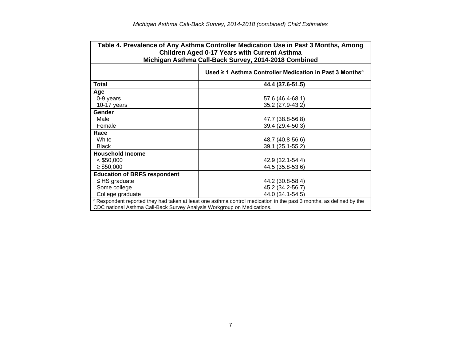|                                                                         | Table 4. Prevalence of Any Asthma Controller Medication Use in Past 3 Months, Among<br><b>Children Aged 0-17 Years with Current Asthma</b><br>Michigan Asthma Call-Back Survey, 2014-2018 Combined |
|-------------------------------------------------------------------------|----------------------------------------------------------------------------------------------------------------------------------------------------------------------------------------------------|
|                                                                         | Used ≥ 1 Asthma Controller Medication in Past 3 Months <sup>a</sup>                                                                                                                                |
| Total                                                                   | 44.4 (37.6-51.5)                                                                                                                                                                                   |
| Age                                                                     |                                                                                                                                                                                                    |
| 0-9 years                                                               | 57.6 (46.4-68.1)                                                                                                                                                                                   |
| $10-17$ years                                                           | 35.2 (27.9-43.2)                                                                                                                                                                                   |
| Gender                                                                  |                                                                                                                                                                                                    |
| Male                                                                    | 47.7 (38.8-56.8)                                                                                                                                                                                   |
| Female                                                                  | 39.4 (29.4-50.3)                                                                                                                                                                                   |
| Race                                                                    |                                                                                                                                                                                                    |
| White                                                                   | 48.7 (40.8-56.6)                                                                                                                                                                                   |
| <b>Black</b>                                                            | 39.1 (25.1-55.2)                                                                                                                                                                                   |
| <b>Household Income</b>                                                 |                                                                                                                                                                                                    |
| $<$ \$50,000                                                            | 42.9 (32.1-54.4)                                                                                                                                                                                   |
| $\geq$ \$50,000                                                         | 44.5 (35.8-53.6)                                                                                                                                                                                   |
| <b>Education of BRFS respondent</b>                                     |                                                                                                                                                                                                    |
| $\leq$ HS graduate                                                      | 44.2 (30.8-58.4)                                                                                                                                                                                   |
| Some college                                                            | 45.2 (34.2-56.7)                                                                                                                                                                                   |
| College graduate                                                        | 44.0 (34.1-54.5)                                                                                                                                                                                   |
|                                                                         | a Respondent reported they had taken at least one asthma control medication in the past 3 months, as defined by the                                                                                |
| CDC national Asthma Call-Back Survey Analysis Workgroup on Medications. |                                                                                                                                                                                                    |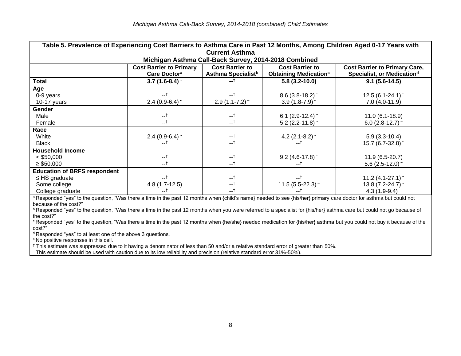| Table 5. Prevalence of Experiencing Cost Barriers to Asthma Care in Past 12 Months, Among Children Aged 0-17 Years with |                                                            |                                                                                                                                                                                                                 |                               |                               |  |  |  |  |  |
|-------------------------------------------------------------------------------------------------------------------------|------------------------------------------------------------|-----------------------------------------------------------------------------------------------------------------------------------------------------------------------------------------------------------------|-------------------------------|-------------------------------|--|--|--|--|--|
| <b>Current Asthma</b>                                                                                                   |                                                            |                                                                                                                                                                                                                 |                               |                               |  |  |  |  |  |
|                                                                                                                         |                                                            | Michigan Asthma Call-Back Survey, 2014-2018 Combined                                                                                                                                                            |                               |                               |  |  |  |  |  |
|                                                                                                                         | <b>Cost Barrier to Primary</b><br>Care Doctor <sup>a</sup> | <b>Cost Barrier to</b><br><b>Cost Barrier to</b><br><b>Cost Barrier to Primary Care,</b><br>Asthma Specialist <sup>b</sup><br>Specialist, or Medication <sup>d</sup><br><b>Obtaining Medication<sup>c</sup></b> |                               |                               |  |  |  |  |  |
| Total                                                                                                                   | $3.7(1.6-8.4)$                                             |                                                                                                                                                                                                                 | $5.8(3.2-10.0)$               | $9.1(5.6-14.5)$               |  |  |  |  |  |
| Age                                                                                                                     |                                                            |                                                                                                                                                                                                                 |                               |                               |  |  |  |  |  |
| 0-9 years                                                                                                               | $-1$                                                       | --†                                                                                                                                                                                                             | $8.6$ (3.8-18.2) ~            | $12.5(6.1-24.1)$ <sup>-</sup> |  |  |  |  |  |
| 10-17 years                                                                                                             | 2.4 (0.9-6.4) $\sim$                                       | $2.9(1.1 - 7.2)$ <sup>-</sup>                                                                                                                                                                                   | 3.9 $(1.8-7.9)$ ~             | $7.0(4.0-11.9)$               |  |  |  |  |  |
| <b>Gender</b>                                                                                                           |                                                            |                                                                                                                                                                                                                 |                               |                               |  |  |  |  |  |
| Male                                                                                                                    | $-1$                                                       | $-1$                                                                                                                                                                                                            | 6.1 $(2.9-12.4)$ ~            | $11.0(6.1-18.9)$              |  |  |  |  |  |
| Female                                                                                                                  | $-1$                                                       | $-1$                                                                                                                                                                                                            | 5.2 (2.2-11.8) $\degree$      | 6.0 (2.8-12.7) $\degree$      |  |  |  |  |  |
| Race                                                                                                                    |                                                            |                                                                                                                                                                                                                 |                               |                               |  |  |  |  |  |
| White                                                                                                                   | 2.4 (0.9-6.4) $\sim$                                       | $-1$                                                                                                                                                                                                            | 4.2 $(2.1 - 8.2)$ ~           | $5.9(3.3-10.4)$               |  |  |  |  |  |
| <b>Black</b>                                                                                                            | --†                                                        | $-1$                                                                                                                                                                                                            | —†                            | 15.7 (6.7-32.8) ~             |  |  |  |  |  |
| <b>Household Income</b>                                                                                                 |                                                            |                                                                                                                                                                                                                 |                               |                               |  |  |  |  |  |
| $<$ \$50,000                                                                                                            | $-1$                                                       | $-1$                                                                                                                                                                                                            | $9.2$ (4.6-17.8) ~            | $11.9(6.5-20.7)$              |  |  |  |  |  |
| $\geq$ \$50,000                                                                                                         | $-1$                                                       | $-1$                                                                                                                                                                                                            | --†                           | $5.6$ (2.5-12.0) ~            |  |  |  |  |  |
| <b>Education of BRFS respondent</b>                                                                                     |                                                            |                                                                                                                                                                                                                 |                               |                               |  |  |  |  |  |
| $\leq$ HS graduate                                                                                                      | $-1$                                                       | $-1$                                                                                                                                                                                                            | --†                           | 11.2 $(4.1 - 27.1)$ ~         |  |  |  |  |  |
| Some college                                                                                                            | $4.8(1.7-12.5)$                                            | $-1$                                                                                                                                                                                                            | $11.5(5.5-22.3)$ <sup>-</sup> | 13.8 (7.2-24.7) ~             |  |  |  |  |  |
| College graduate                                                                                                        | --†                                                        | $-1$                                                                                                                                                                                                            |                               | 4.3 (1.9-9.4) $\degree$       |  |  |  |  |  |

a Responded "yes" to the question, "Was there a time in the past 12 months when {child's name} needed to see {his/her} primary care doctor for asthma but could not because of the cost?"

**B** Responded "yes" to the question, "Was there a time in the past 12 months when you were referred to a specialist for {his/her} asthma care but could not go because of the cost?"

<sup>c</sup> Responded "yes" to the question, "Was there a time in the past 12 months when {he/she} needed medication for {his/her} asthma but you could not buy it because of the cost?"

<sup>d</sup> Responded "yes" to at least one of the above 3 questions.

<sup>e</sup> No positive responses in this cell.

† This estimate was suppressed due to it having a denominator of less than 50 and/or a relative standard error of greater than 50%.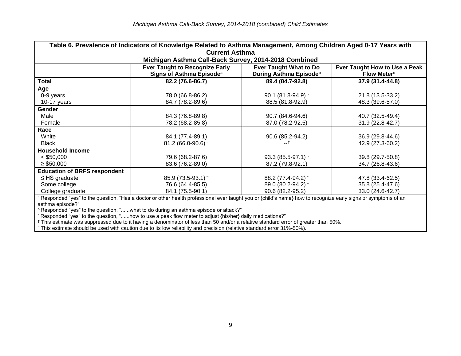| Table 6. Prevalence of Indicators of Knowledge Related to Asthma Management, Among Children Aged 0-17 Years with                                                                                                                                                           |                                                                                                                                                                                                                  |                                             |                                      |  |  |  |  |  |
|----------------------------------------------------------------------------------------------------------------------------------------------------------------------------------------------------------------------------------------------------------------------------|------------------------------------------------------------------------------------------------------------------------------------------------------------------------------------------------------------------|---------------------------------------------|--------------------------------------|--|--|--|--|--|
| <b>Current Asthma</b>                                                                                                                                                                                                                                                      |                                                                                                                                                                                                                  |                                             |                                      |  |  |  |  |  |
|                                                                                                                                                                                                                                                                            | Michigan Asthma Call-Back Survey, 2014-2018 Combined                                                                                                                                                             |                                             |                                      |  |  |  |  |  |
|                                                                                                                                                                                                                                                                            | <b>Ever Taught to Recognize Early</b><br><b>Ever Taught What to Do</b><br>Ever Taught How to Use a Peak<br>During Asthma Episode <sup>b</sup><br>Signs of Asthma Episode <sup>a</sup><br>Flow Meter <sup>c</sup> |                                             |                                      |  |  |  |  |  |
| Total                                                                                                                                                                                                                                                                      | 82.2 (76.6-86.7)                                                                                                                                                                                                 | 89.4 (84.7-92.8)                            | $37.9(31.4 - 44.8)$                  |  |  |  |  |  |
| Age<br>0-9 years<br>10-17 years                                                                                                                                                                                                                                            | 78.0 (66.8-86.2)<br>84.7 (78.2-89.6)                                                                                                                                                                             | 90.1 (81.8-94.9) $\sim$<br>88.5 (81.8-92.9) | 21.8 (13.5-33.2)<br>48.3 (39.6-57.0) |  |  |  |  |  |
| <b>Gender</b>                                                                                                                                                                                                                                                              |                                                                                                                                                                                                                  |                                             |                                      |  |  |  |  |  |
| Male                                                                                                                                                                                                                                                                       | 84.3 (76.8-89.8)                                                                                                                                                                                                 | 90.7 (84.6-94.6)                            | 40.7 (32.5-49.4)                     |  |  |  |  |  |
| Female                                                                                                                                                                                                                                                                     | 78.2 (68.2-85.8)                                                                                                                                                                                                 | 87.0 (78.2-92.5)                            | 31.9 (22.8-42.7)                     |  |  |  |  |  |
| Race                                                                                                                                                                                                                                                                       |                                                                                                                                                                                                                  |                                             |                                      |  |  |  |  |  |
| White                                                                                                                                                                                                                                                                      | 84.1 (77.4-89.1)                                                                                                                                                                                                 | 90.6 (85.2-94.2)                            | 36.9 (29.8-44.6)                     |  |  |  |  |  |
| Black                                                                                                                                                                                                                                                                      | $81.2(66.0-90.6)$                                                                                                                                                                                                |                                             | 42.9 (27.3-60.2)                     |  |  |  |  |  |
| <b>Household Income</b>                                                                                                                                                                                                                                                    |                                                                                                                                                                                                                  |                                             |                                      |  |  |  |  |  |
| $<$ \$50,000                                                                                                                                                                                                                                                               | 79.6 (68.2-87.6)                                                                                                                                                                                                 | 93.3 (85.5-97.1) ~                          | 39.8 (29.7-50.8)                     |  |  |  |  |  |
| $\geq$ \$50,000                                                                                                                                                                                                                                                            | 83.6 (76.2-89.0)                                                                                                                                                                                                 | 87.2 (79.8-92.1)                            | 34.7 (26.8-43.6)                     |  |  |  |  |  |
| <b>Education of BRFS respondent</b>                                                                                                                                                                                                                                        |                                                                                                                                                                                                                  |                                             |                                      |  |  |  |  |  |
| $\leq$ HS graduate                                                                                                                                                                                                                                                         | 85.9 (73.5-93.1) ~                                                                                                                                                                                               | 88.2 (77.4-94.2) ~                          | 47.8 (33.4-62.5)                     |  |  |  |  |  |
| Some college                                                                                                                                                                                                                                                               | 76.6 (64.4-85.5)                                                                                                                                                                                                 | 89.0 (80.2-94.2) ~                          | 35.8 (25.4-47.6)                     |  |  |  |  |  |
| College graduate                                                                                                                                                                                                                                                           | 84.1 (75.5-90.1)                                                                                                                                                                                                 | $90.6(82.2 - 95.2)$                         | 33.0 (24.6-42.7)                     |  |  |  |  |  |
| a Responded "yes" to the question, "Has a doctor or other health professional ever taught you or {child's name} how to recognize early signs or symptoms of an<br>asthma episode?"<br>$b$ Depended "ver" to the question " what to do during an acthma enjaced or ottook?" |                                                                                                                                                                                                                  |                                             |                                      |  |  |  |  |  |

 $^{\rm b}$  Responded "yes" to the question, "......what to do during an asthma episode or attack?"

 $^\mathrm{c}$  Responded "yes" to the question, "......how to use a peak flow meter to adjust {his/her} daily medications?"

† This estimate was suppressed due to it having a denominator of less than 50 and/or a relative standard error of greater than 50%.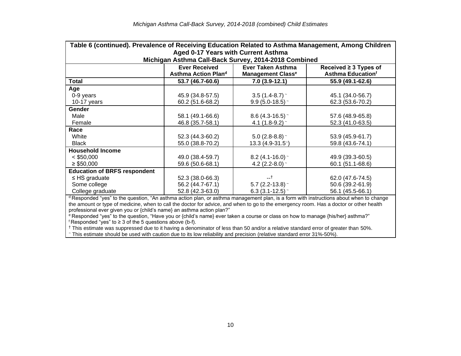|                                                                                                                                                  | Table 6 (continued). Prevalence of Receiving Education Related to Asthma Management, Among Children |                                                      |                          |  |  |  |  |  |
|--------------------------------------------------------------------------------------------------------------------------------------------------|-----------------------------------------------------------------------------------------------------|------------------------------------------------------|--------------------------|--|--|--|--|--|
|                                                                                                                                                  | Aged 0-17 Years with Current Asthma                                                                 |                                                      |                          |  |  |  |  |  |
|                                                                                                                                                  |                                                                                                     | Michigan Asthma Call-Back Survey, 2014-2018 Combined |                          |  |  |  |  |  |
|                                                                                                                                                  | <b>Ever Received</b><br><b>Ever Taken Asthma</b><br>Received $\geq$ 3 Types of                      |                                                      |                          |  |  |  |  |  |
|                                                                                                                                                  | Asthma Action Plan <sup>d</sup>                                                                     | <b>Management Classe</b>                             | <b>Asthma Educationf</b> |  |  |  |  |  |
| Total                                                                                                                                            | 53.7 (46.7-60.6)                                                                                    | $7.0(3.9-12.1)$                                      | 55.9 (49.1-62.6)         |  |  |  |  |  |
| Age                                                                                                                                              |                                                                                                     |                                                      |                          |  |  |  |  |  |
| 0-9 years                                                                                                                                        | 45.9 (34.8-57.5)                                                                                    | $3.5(1.4-8.7)$                                       | 45.1 (34.0-56.7)         |  |  |  |  |  |
| 10-17 years                                                                                                                                      | 60.2 (51.6-68.2)                                                                                    | $9.9(5.0-18.5)$                                      | 62.3 (53.6-70.2)         |  |  |  |  |  |
| Gender                                                                                                                                           |                                                                                                     |                                                      |                          |  |  |  |  |  |
| Male                                                                                                                                             | 58.1 (49.1-66.6)                                                                                    | 8.6 (4.3-16.5) $\degree$                             | 57.6 (48.9-65.8)         |  |  |  |  |  |
| Female                                                                                                                                           | 46.8 (35.7-58.1)                                                                                    | 4.1 $(1.8-9.2)$ ~                                    | 52.3 (41.0-63.5)         |  |  |  |  |  |
| Race                                                                                                                                             |                                                                                                     |                                                      |                          |  |  |  |  |  |
| White                                                                                                                                            | 52.3 (44.3-60.2)                                                                                    | 5.0 (2.8-8.8) $\degree$                              | 53.9 (45.9-61.7)         |  |  |  |  |  |
| <b>Black</b>                                                                                                                                     | 55.0 (38.8-70.2)                                                                                    | 13.3 (4.9-31.5 <sup>-</sup> )                        | 59.8 (43.6-74.1)         |  |  |  |  |  |
| <b>Household Income</b>                                                                                                                          |                                                                                                     |                                                      |                          |  |  |  |  |  |
| $<$ \$50,000                                                                                                                                     | 49.0 (38.4-59.7)                                                                                    | $8.2$ (4.1-16.0) ~                                   | 49.9 (39.3-60.5)         |  |  |  |  |  |
| $\geq$ \$50,000                                                                                                                                  | 59.6 (50.6-68.1)                                                                                    | 4.2 $(2.2-8.0)$ ~                                    | 60.1 (51.1-68.6)         |  |  |  |  |  |
| <b>Education of BRFS respondent</b>                                                                                                              |                                                                                                     |                                                      |                          |  |  |  |  |  |
| $\leq$ HS graduate                                                                                                                               | 52.3 (38.0-66.3)                                                                                    | $-1$                                                 | 62.0 (47.6-74.5)         |  |  |  |  |  |
| Some college                                                                                                                                     | 56.2 (44.7-67.1)                                                                                    | 5.7 (2.2-13.8) $\sim$                                | 50.6 (39.2-61.9)         |  |  |  |  |  |
| College graduate                                                                                                                                 | 52.8 (42.3-63.0)                                                                                    | $6.3(3.1-12.5)$ <sup>-</sup>                         | 56.1 (45.5-66.1)         |  |  |  |  |  |
| <sup>d</sup> Responded "yes" to the question "An asthma action plan, or asthma management plan, is a form with instructions about when to change |                                                                                                     |                                                      |                          |  |  |  |  |  |

'Responded "yes" to the question, "An asthma action plan, or asthma management plan, is a form with instructions about when to change the amount or type of medicine, when to call the doctor for advice, and when to go to the emergency room. Has a doctor or other health professional ever given you or {child's name} an asthma action plan?"

<sup>e</sup> Responded "yes" to the question, "Have you or {child's name} ever taken a course or class on how to manage {his/her} asthma?" f Responded "yes" to  $\geq 3$  of the 5 questions above (b-f).

† This estimate was suppressed due to it having a denominator of less than 50 and/or a relative standard error of greater than 50%.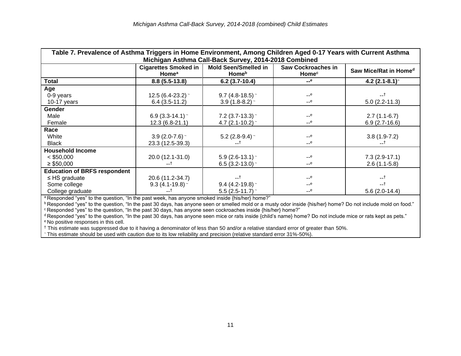| Table 7. Prevalence of Asthma Triggers in Home Environment, Among Children Aged 0-17 Years with Current Asthma |                                                                                                                                                                                                                                                                   |                                                       |                         |                                   |  |  |  |
|----------------------------------------------------------------------------------------------------------------|-------------------------------------------------------------------------------------------------------------------------------------------------------------------------------------------------------------------------------------------------------------------|-------------------------------------------------------|-------------------------|-----------------------------------|--|--|--|
|                                                                                                                | Michigan Asthma Call-Back Survey, 2014-2018 Combined<br><b>Cigarettes Smoked in</b><br><b>Mold Seen/Smelled in</b><br><b>Saw Cockroaches in</b><br>Saw Mice/Rat in Home <sup>d</sup><br><b>Home</b> <sup>b</sup><br><b>Home</b> <sup>a</sup><br>Home <sup>c</sup> |                                                       |                         |                                   |  |  |  |
| Total                                                                                                          | $8.8(5.5-13.8)$                                                                                                                                                                                                                                                   | $6.2(3.7-10.4)$                                       | $-e$                    | $4.2$ (2.1-8.1) <sup>~</sup>      |  |  |  |
| Age<br>0-9 years<br>10-17 years                                                                                | 12.5 (6.4-23.2) $\degree$<br>$6.4(3.5-11.2)$                                                                                                                                                                                                                      | 9.7 (4.8-18.5) $\degree$<br>3.9 (1.8-8.2) $\sim$      | $-$ e<br>$ e$           | --†<br>$5.0(2.2-11.3)$            |  |  |  |
| <b>Gender</b><br>Male<br>Female                                                                                | 6.9 $(3.3-14.1)$ ~<br>12.3 (6.8-21.1)                                                                                                                                                                                                                             | 7.2 $(3.7-13.3)$ ~<br>4.7 (2.1-10.2) $\sim$           | $-$ e<br>$-$ e          | $2.7(1.1-6.7)$<br>$6.9(2.7-16.6)$ |  |  |  |
| Race<br>White<br><b>Black</b>                                                                                  | 3.9 $(2.0 - 7.6)$ ~<br>23.3 (12.5-39.3)                                                                                                                                                                                                                           | 5.2 (2.8-9.4) $\sim$<br>--†                           | $-$ e<br>$ e$           | $3.8(1.9-7.2)$<br>--†             |  |  |  |
| <b>Household Income</b><br>$<$ \$50,000<br>$\geq$ \$50,000                                                     | 20.0 (12.1-31.0)<br>t                                                                                                                                                                                                                                             | 5.9 (2.6-13.1) ~<br>6.5 (3.2-13.0) $\degree$          | $-$ e<br>$-$ e          | $7.3(2.9-17.1)$<br>$2.6(1.1-5.8)$ |  |  |  |
| <b>Education of BRFS respondent</b><br>$\leq$ HS graduate<br>Some college<br>College graduate                  | 20.6 (11.2-34.7)<br>$9.3(4.1-19.8)$<br>--†                                                                                                                                                                                                                        | −−1<br>9.4 (4.2-19.8) $\degree$<br>5.5 $(2.5-11.7)$ ~ | $-$ e<br>$-$ e<br>$-$ e | $-1$<br>$5.6(2.0-14.4)$           |  |  |  |

<sup>a</sup> Responded "yes" to the question, "In the past week, has anyone smoked inside {his/her} home?"

**b Responded "yes" to the question, "In the past 30 days, has anyone seen or smelled mold or a musty odor inside {his/her} home? Do not include mold on food."** <sup>c</sup> Responded "yes" to the question, "In the past 30 days, has anyone seen cockroaches inside {his/her} home?"

<sup>d</sup> Responded "yes" to the question, "In the past 30 days, has anyone seen mice or rats inside {child's name} home? Do not include mice or rats kept as pets." <sup>e</sup> No positive responses in this cell.

† This estimate was suppressed due to it having a denominator of less than 50 and/or a relative standard error of greater than 50%.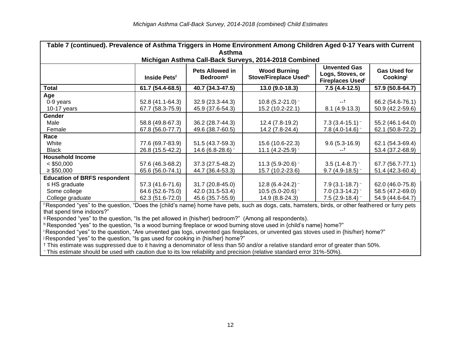| Table 7 (continued). Prevalence of Asthma Triggers in Home Environment Among Children Aged 0-17 Years with Current |                                                                                                                                                                                                                                           |                     |                                                       |                         |                  |  |  |  |
|--------------------------------------------------------------------------------------------------------------------|-------------------------------------------------------------------------------------------------------------------------------------------------------------------------------------------------------------------------------------------|---------------------|-------------------------------------------------------|-------------------------|------------------|--|--|--|
|                                                                                                                    | Asthma                                                                                                                                                                                                                                    |                     |                                                       |                         |                  |  |  |  |
|                                                                                                                    |                                                                                                                                                                                                                                           |                     | Michigan Asthma Call-Back Surveys, 2014-2018 Combined |                         |                  |  |  |  |
|                                                                                                                    | <b>Unvented Gas</b><br><b>Pets Allowed in</b><br><b>Wood Burning</b><br><b>Gas Used for</b><br>Logs, Stoves, or<br>Stove/Fireplace Usedh<br>Inside Pets <sup>f</sup><br><b>Bedroom</b> <sup>g</sup><br>Cooking<br><b>Fireplaces Usedi</b> |                     |                                                       |                         |                  |  |  |  |
| <b>Total</b>                                                                                                       | 61.7 (54.4-68.5)                                                                                                                                                                                                                          | 40.7 (34.3-47.5)    | $13.0(9.0-18.3)$                                      | $7.5(4.4-12.5)$         | 57.9 (50.8-64.7) |  |  |  |
| Age                                                                                                                |                                                                                                                                                                                                                                           |                     |                                                       |                         |                  |  |  |  |
| 0-9 years                                                                                                          | 52.8 (41.1-64.3)                                                                                                                                                                                                                          | 32.9 (23.3-44.3)    | 10.8 $(5.2 - 21.0)$ ~                                 | --†                     | 66.2 (54.6-76.1) |  |  |  |
| 10-17 years                                                                                                        | 67.7 (58.3-75.9)                                                                                                                                                                                                                          | 45.9 (37.6-54.3)    | 15.2 (10.2-22.1)                                      | $8.1(4.9-13.3)$         | 50.9 (42.2-59.6) |  |  |  |
| Gender                                                                                                             |                                                                                                                                                                                                                                           |                     |                                                       |                         |                  |  |  |  |
| Male                                                                                                               | 58.8 (49.8-67.3)                                                                                                                                                                                                                          | 36.2 (28.7-44.3)    | 12.4 (7.8-19.2)                                       | 7.3 $(3.4-15.1)$ ~      | 55.2 (46.1-64.0) |  |  |  |
| Female                                                                                                             | 67.8 (56.0-77.7)                                                                                                                                                                                                                          | 49.6 (38.7-60.5)    | 14.2 (7.8-24.4)                                       | 7.8 $(4.0-14.6)$ ~      | 62.1 (50.8-72.2) |  |  |  |
| Race                                                                                                               |                                                                                                                                                                                                                                           |                     |                                                       |                         |                  |  |  |  |
| White                                                                                                              | 77.6 (69.7-83.9)                                                                                                                                                                                                                          | 51.5 (43.7-59.3)    | 15.6 (10.6-22.3)                                      | $9.6(5.3-16.9)$         | 62.1 (54.3-69.4) |  |  |  |
| <b>Black</b>                                                                                                       | 26.8 (15.5-42.2)                                                                                                                                                                                                                          | 14.6 $(6.8-28.6)$ ~ | 11.1 $(4.2 - 25.9)$ ~                                 | --T                     | 53.4 (37.2-68.9) |  |  |  |
| <b>Household Income</b>                                                                                            |                                                                                                                                                                                                                                           |                     |                                                       |                         |                  |  |  |  |
| $<$ \$50,000                                                                                                       | 57.6 (46.3-68.2)                                                                                                                                                                                                                          | 37.3 (27.5-48.2)    | 11.3 $(5.9 - 20.6)$ ~                                 | $3.5(1.4-8.7)$          | 67.7 (56.7-77.1) |  |  |  |
| $\geq$ \$50,000                                                                                                    | 65.6 (56.0-74.1)                                                                                                                                                                                                                          | 44.7 (36.4-53.3)    | 15.7 (10.2-23.6)                                      | $9.7(4.9-18.5)$         | 51.4 (42.3-60.4) |  |  |  |
| <b>Education of BRFS respondent</b>                                                                                |                                                                                                                                                                                                                                           |                     |                                                       |                         |                  |  |  |  |
| $\leq$ HS graduate                                                                                                 | 57.3 (41.6-71.6)                                                                                                                                                                                                                          | 31.7 (20.8-45.0)    | 12.8 (6.4-24.2) $\sim$                                | 7.9 $(3.1 - 18.7)$      | 62.0 (46.0-75.8) |  |  |  |
| Some college                                                                                                       | 64.6 (52.6-75.0)                                                                                                                                                                                                                          | 42.0 (31.5-53.4)    | 10.5 (5.0-20.6) $\degree$                             | 7.0 $(3.3-14.2)$ $\sim$ | 58.5 (47.2-69.0) |  |  |  |
| College graduate                                                                                                   | 62.3 (51.6-72.0)                                                                                                                                                                                                                          | 45.6 (35.7-55.9)    | 14.9 (8.8-24.3)                                       | 7.5 $(2.9-18.4)$ ~      | 54.9 (44.6-64.7) |  |  |  |

<sup>f</sup> Responded "yes" to the question, "Does the {child's name} home have pets, such as dogs, cats, hamsters, birds, or other feathered or furry pets that spend time indoors?"

<sup>g</sup> Responded "yes" to the question, "Is the pet allowed in {his/her} bedroom?" (Among all respondents).

h Responded "yes" to the question, "Is a wood burning fireplace or wood burning stove used in {child's name} home?"

<sup>i</sup> Responded "yes" to the question, "Are unvented gas logs, unvented gas fireplaces, or unvented gas stoves used in {his/her} home?" <sup>j</sup> Responded "yes" to the question, "Is gas used for cooking in {his/her} home?"

† This estimate was suppressed due to it having a denominator of less than 50 and/or a relative standard error of greater than 50%.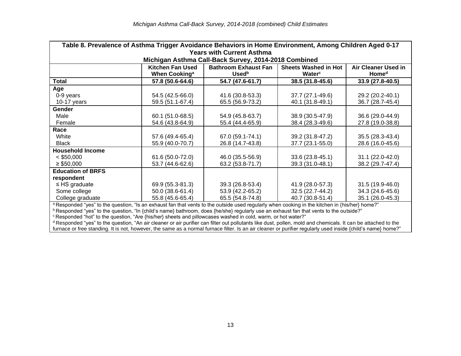| Table 8. Prevalence of Asthma Trigger Avoidance Behaviors in Home Environment, Among Children Aged 0-17                                           |                                                                                                                                                           |                                                      |                                        |                  |  |  |  |  |
|---------------------------------------------------------------------------------------------------------------------------------------------------|-----------------------------------------------------------------------------------------------------------------------------------------------------------|------------------------------------------------------|----------------------------------------|------------------|--|--|--|--|
| <b>Years with Current Asthma</b>                                                                                                                  |                                                                                                                                                           |                                                      |                                        |                  |  |  |  |  |
|                                                                                                                                                   |                                                                                                                                                           | Michigan Asthma Call-Back Survey, 2014-2018 Combined |                                        |                  |  |  |  |  |
|                                                                                                                                                   | <b>Kitchen Fan Used</b><br><b>Bathroom Exhaust Fan</b><br><b>Sheets Washed in Hot</b><br><b>Air Cleaner Used in</b><br>Home <sup>d</sup><br><b>Used</b> b |                                                      |                                        |                  |  |  |  |  |
| <b>Total</b>                                                                                                                                      | When Cooking <sup>a</sup><br>57.8 (50.6-64.6)                                                                                                             | 54.7 (47.6-61.7)                                     | Water <sup>c</sup><br>38.5 (31.8-45.6) | 33.9 (27.8-40.5) |  |  |  |  |
| Age                                                                                                                                               |                                                                                                                                                           |                                                      |                                        |                  |  |  |  |  |
| 0-9 years                                                                                                                                         | 54.5 (42.5-66.0)                                                                                                                                          | 41.6 (30.8-53.3)                                     | 37.7 (27.1-49.6)                       | 29.2 (20.2-40.1) |  |  |  |  |
| 10-17 years                                                                                                                                       | 59.5 (51.1-67.4)                                                                                                                                          | 65.5 (56.9-73.2)                                     | 40.1 (31.8-49.1)                       | 36.7 (28.7-45.4) |  |  |  |  |
| Gender                                                                                                                                            |                                                                                                                                                           |                                                      |                                        |                  |  |  |  |  |
| Male                                                                                                                                              | 60.1 (51.0-68.5)                                                                                                                                          | 54.9 (45.8-63.7)                                     | 38.9 (30.5-47.9)                       | 36.6 (29.0-44.9) |  |  |  |  |
| Female                                                                                                                                            | 54.6 (43.8-64.9)                                                                                                                                          | 55.4 (44.4-65.9)                                     | 38.4 (28.3-49.6)                       | 27.8 (19.0-38.8) |  |  |  |  |
| Race                                                                                                                                              |                                                                                                                                                           |                                                      |                                        |                  |  |  |  |  |
| White                                                                                                                                             | 57.6 (49.4-65.4)                                                                                                                                          | 67.0 (59.1-74.1)                                     | 39.2 (31.8-47.2)                       | 35.5 (28.3-43.4) |  |  |  |  |
| <b>Black</b>                                                                                                                                      | 55.9 (40.0-70.7)                                                                                                                                          | 26.8 (14.7-43.8)                                     | 37.7 (23.1-55.0)                       | 28.6 (16.0-45.6) |  |  |  |  |
| <b>Household Income</b>                                                                                                                           |                                                                                                                                                           |                                                      |                                        |                  |  |  |  |  |
| $<$ \$50,000                                                                                                                                      | 61.6 (50.0-72.0)                                                                                                                                          | 46.0 (35.5-56.9)                                     | 33.6 (23.8-45.1)                       | 31.1 (22.0-42.0) |  |  |  |  |
| $\geq$ \$50,000                                                                                                                                   | 53.7 (44.6-62.6)                                                                                                                                          | 63.2 (53.8-71.7)                                     | 39.3 (31.0-48.1)                       | 38.2 (29.7-47.4) |  |  |  |  |
| <b>Education of BRFS</b>                                                                                                                          |                                                                                                                                                           |                                                      |                                        |                  |  |  |  |  |
| respondent                                                                                                                                        |                                                                                                                                                           |                                                      |                                        |                  |  |  |  |  |
| $\leq$ HS graduate                                                                                                                                | 69.9 (55.3-81.3)                                                                                                                                          | 39.3 (26.8-53.4)                                     | 41.9 (28.0-57.3)                       | 31.5 (19.9-46.0) |  |  |  |  |
| Some college                                                                                                                                      | 50.0 (38.6-61.4)                                                                                                                                          | 53.9 (42.2-65.2)                                     | 32.5 (22.7-44.2)                       | 34.3 (24.6-45.6) |  |  |  |  |
| College graduate                                                                                                                                  | 55.8 (45.6-65.4)                                                                                                                                          | 65.5 (54.8-74.8)                                     | 40.7 (30.8-51.4)                       | 35.1 (26.0-45.3) |  |  |  |  |
|                                                                                                                                                   | a Responded "yes" to the question, "Is an exhaust fan that vents to the outside used regularly when cooking in the kitchen in {his/her} home?"            |                                                      |                                        |                  |  |  |  |  |
| <sup>b</sup> Responded "yes" to the question, "In {child's name} bathroom, does {he/she} regularly use an exhaust fan that vents to the outside?" |                                                                                                                                                           |                                                      |                                        |                  |  |  |  |  |
| <sup>c</sup> Responded "hot" to the question, "Are {his/her} sheets and pillowcases washed in cold, warm, or hot water?"                          |                                                                                                                                                           |                                                      |                                        |                  |  |  |  |  |

<sup>d</sup> Responded "yes" to the question, "An air cleaner or air purifier can filter out pollutants like dust, pollen, mold and chemicals. It can be attached to the furnace or free standing. It is not, however, the same as a normal furnace filter. Is an air cleaner or purifier regularly used inside {child's name} home?"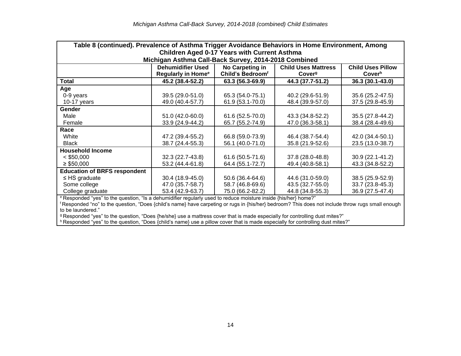| Table 8 (continued). Prevalence of Asthma Trigger Avoidance Behaviors in Home Environment, Among |                                                                                                       |                              |                    |                    |  |  |  |  |  |
|--------------------------------------------------------------------------------------------------|-------------------------------------------------------------------------------------------------------|------------------------------|--------------------|--------------------|--|--|--|--|--|
|                                                                                                  | <b>Children Aged 0-17 Years with Current Asthma</b>                                                   |                              |                    |                    |  |  |  |  |  |
|                                                                                                  | Michigan Asthma Call-Back Survey, 2014-2018 Combined                                                  |                              |                    |                    |  |  |  |  |  |
|                                                                                                  | <b>Dehumidifier Used</b><br><b>Child Uses Pillow</b><br>No Carpeting in<br><b>Child Uses Mattress</b> |                              |                    |                    |  |  |  |  |  |
|                                                                                                  | <b>Regularly in Home<sup>e</sup></b>                                                                  | Child's Bedroom <sup>f</sup> | Cover <sup>g</sup> | Cover <sup>h</sup> |  |  |  |  |  |
| <b>Total</b>                                                                                     | 45.2 (38.4-52.2)                                                                                      | 63.3 (56.3-69.9)             | 44.3 (37.7-51.2)   | 36.3 (30.1-43.0)   |  |  |  |  |  |
| Age                                                                                              |                                                                                                       |                              |                    |                    |  |  |  |  |  |
| 0-9 years                                                                                        | 39.5 (29.0-51.0)                                                                                      | 65.3 (54.0-75.1)             | 40.2 (29.6-51.9)   | 35.6 (25.2-47.5)   |  |  |  |  |  |
| 10-17 years                                                                                      | 49.0 (40.4-57.7)                                                                                      | 61.9 (53.1-70.0)             | 48.4 (39.9-57.0)   | 37.5 (29.8-45.9)   |  |  |  |  |  |
| <b>Gender</b>                                                                                    |                                                                                                       |                              |                    |                    |  |  |  |  |  |
| Male                                                                                             | 51.0 (42.0-60.0)                                                                                      | 61.6 (52.5-70.0)             | 43.3 (34.8-52.2)   | 35.5 (27.8-44.2)   |  |  |  |  |  |
| Female                                                                                           | 33.9 (24.9-44.2)                                                                                      | 65.7 (55.2-74.9)             | 47.0 (36.3-58.1)   | 38.4 (28.4-49.6)   |  |  |  |  |  |
| Race                                                                                             |                                                                                                       |                              |                    |                    |  |  |  |  |  |
| White                                                                                            | 47.2 (39.4-55.2)                                                                                      | 66.8 (59.0-73.9)             | 46.4 (38.7-54.4)   | 42.0 (34.4-50.1)   |  |  |  |  |  |
| <b>Black</b>                                                                                     | 38.7 (24.4-55.3)                                                                                      | 56.1 (40.0-71.0)             | 35.8 (21.9-52.6)   | 23.5 (13.0-38.7)   |  |  |  |  |  |
| <b>Household Income</b>                                                                          |                                                                                                       |                              |                    |                    |  |  |  |  |  |
| $<$ \$50,000                                                                                     | 32.3 (22.7-43.8)                                                                                      | 61.6 (50.5-71.6)             | 37.8 (28.0-48.8)   | 30.9 (22.1-41.2)   |  |  |  |  |  |
| $\geq$ \$50,000                                                                                  | 53.2 (44.4-61.8)                                                                                      | 64.4 (55.1-72.7)             | 49.4 (40.8-58.1)   | 43.3 (34.8-52.2)   |  |  |  |  |  |
| <b>Education of BRFS respondent</b>                                                              |                                                                                                       |                              |                    |                    |  |  |  |  |  |
| $\leq$ HS graduate                                                                               | 30.4 (18.9-45.0)                                                                                      | 50.6 (36.4-64.6)             | 44.6 (31.0-59.0)   | 38.5 (25.9-52.9)   |  |  |  |  |  |
| Some college                                                                                     | 47.0 (35.7-58.7)                                                                                      | 58.7 (46.8-69.6)             | 43.5 (32.7-55.0)   | 33.7 (23.8-45.3)   |  |  |  |  |  |
| College graduate                                                                                 | 53.4 (42.9-63.7)                                                                                      | 75.0 (66.2-82.2)             | 44.8 (34.8-55.3)   | 36.9 (27.5-47.4)   |  |  |  |  |  |
| $\mathbf{u}$ and $\mathbf{u}$ and $\mathbf{u}$ and $\mathbf{u}$                                  |                                                                                                       |                              |                    |                    |  |  |  |  |  |

<sup>e</sup> Responded "yes" to the question, "Is a dehumidifier regularly used to reduce moisture inside {his/her} home?"

<sup>f</sup> Responded "no" to the question, "Does {child's name} have carpeting or rugs in {his/her} bedroom? This does not include throw rugs small enough to be laundered."

 $9$  Responded "yes" to the question, "Does {he/she} use a mattress cover that is made especially for controlling dust mites?"

<sup>h</sup> Responded "yes" to the question, "Does {child's name} use a pillow cover that is made especially for controlling dust mites?"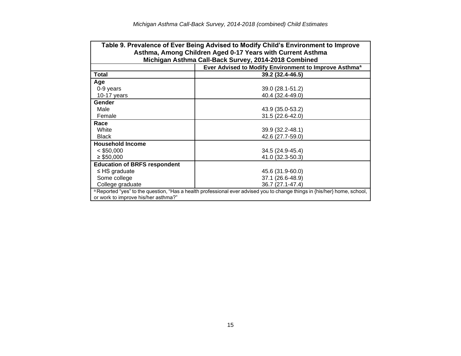| Table 9. Prevalence of Ever Being Advised to Modify Child's Environment to Improve                                                                                          |                                                                   |  |  |  |  |  |  |
|-----------------------------------------------------------------------------------------------------------------------------------------------------------------------------|-------------------------------------------------------------------|--|--|--|--|--|--|
| Asthma, Among Children Aged 0-17 Years with Current Asthma                                                                                                                  |                                                                   |  |  |  |  |  |  |
| Michigan Asthma Call-Back Survey, 2014-2018 Combined                                                                                                                        |                                                                   |  |  |  |  |  |  |
|                                                                                                                                                                             | Ever Advised to Modify Environment to Improve Asthma <sup>a</sup> |  |  |  |  |  |  |
| Total                                                                                                                                                                       | 39.2 (32.4-46.5)                                                  |  |  |  |  |  |  |
| Age                                                                                                                                                                         |                                                                   |  |  |  |  |  |  |
| 0-9 years                                                                                                                                                                   | 39.0 (28.1-51.2)                                                  |  |  |  |  |  |  |
| 10-17 years                                                                                                                                                                 | 40.4 (32.4-49.0)                                                  |  |  |  |  |  |  |
| Gender                                                                                                                                                                      |                                                                   |  |  |  |  |  |  |
| Male                                                                                                                                                                        | 43.9 (35.0-53.2)                                                  |  |  |  |  |  |  |
| Female                                                                                                                                                                      | 31.5 (22.6-42.0)                                                  |  |  |  |  |  |  |
| Race                                                                                                                                                                        |                                                                   |  |  |  |  |  |  |
| White                                                                                                                                                                       | 39.9 (32.2-48.1)                                                  |  |  |  |  |  |  |
| <b>Black</b>                                                                                                                                                                | 42.6 (27.7-59.0)                                                  |  |  |  |  |  |  |
| <b>Household Income</b>                                                                                                                                                     |                                                                   |  |  |  |  |  |  |
| $<$ \$50,000                                                                                                                                                                | 34.5 (24.9-45.4)                                                  |  |  |  |  |  |  |
| $\geq$ \$50,000                                                                                                                                                             | 41.0 (32.3-50.3)                                                  |  |  |  |  |  |  |
| <b>Education of BRFS respondent</b>                                                                                                                                         |                                                                   |  |  |  |  |  |  |
| $\leq$ HS graduate                                                                                                                                                          | 45.6 (31.9-60.0)                                                  |  |  |  |  |  |  |
| Some college                                                                                                                                                                | 37.1 (26.6-48.9)                                                  |  |  |  |  |  |  |
| College graduate                                                                                                                                                            | 36.7 (27.1-47.4)                                                  |  |  |  |  |  |  |
| <sup>a</sup> Reported "yes" to the question, "Has a health professional ever advised you to change things in {his/her} home, school,<br>or work to improve his/her asthma?" |                                                                   |  |  |  |  |  |  |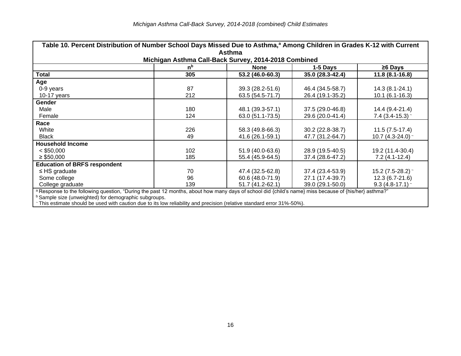| Table 10. Percent Distribution of Number School Days Missed Due to Asthma, <sup>a</sup> Among Children in Grades K-12 with Current                    |                |                  |                  |                     |  |  |  |
|-------------------------------------------------------------------------------------------------------------------------------------------------------|----------------|------------------|------------------|---------------------|--|--|--|
| <b>Asthma</b>                                                                                                                                         |                |                  |                  |                     |  |  |  |
| Michigan Asthma Call-Back Survey, 2014-2018 Combined                                                                                                  |                |                  |                  |                     |  |  |  |
|                                                                                                                                                       | n <sup>b</sup> | <b>None</b>      | 1-5 Days         | $\geq 6$ Days       |  |  |  |
| <b>Total</b>                                                                                                                                          | 305            | 53.2 (46.0-60.3) | 35.0 (28.3-42.4) | $11.8(8.1 - 16.8)$  |  |  |  |
| Age                                                                                                                                                   |                |                  |                  |                     |  |  |  |
| 0-9 years                                                                                                                                             | 87             | 39.3 (28.2-51.6) | 46.4 (34.5-58.7) | $14.3(8.1 - 24.1)$  |  |  |  |
| 10-17 years                                                                                                                                           | 212            | 63.5 (54.5-71.7) | 26.4 (19.1-35.2) | $10.1(6.1-16.3)$    |  |  |  |
| Gender                                                                                                                                                |                |                  |                  |                     |  |  |  |
| Male                                                                                                                                                  | 180            | 48.1 (39.3-57.1) | 37.5 (29.0-46.8) | 14.4 (9.4-21.4)     |  |  |  |
| Female                                                                                                                                                | 124            | 63.0 (51.1-73.5) | 29.6 (20.0-41.4) | 7.4 $(3.4-15.3)$ ~  |  |  |  |
| Race                                                                                                                                                  |                |                  |                  |                     |  |  |  |
| White                                                                                                                                                 | 226            | 58.3 (49.8-66.3) | 30.2 (22.8-38.7) | $11.5(7.5-17.4)$    |  |  |  |
| <b>Black</b>                                                                                                                                          | 49             | 41.6 (26.1-59.1) | 47.7 (31.2-64.7) | 10.7 $(4.3-24.0)$ ~ |  |  |  |
| <b>Household Income</b>                                                                                                                               |                |                  |                  |                     |  |  |  |
| $<$ \$50,000                                                                                                                                          | 102            | 51.9 (40.0-63.6) | 28.9 (19.5-40.5) | 19.2 (11.4-30.4)    |  |  |  |
| $\geq$ \$50,000                                                                                                                                       | 185            | 55.4 (45.9-64.5) | 37.4 (28.6-47.2) | $7.2(4.1-12.4)$     |  |  |  |
| <b>Education of BRFS respondent</b>                                                                                                                   |                |                  |                  |                     |  |  |  |
| $\leq$ HS graduate                                                                                                                                    | 70             | 47.4 (32.5-62.8) | 37.4 (23.4-53.9) | 15.2 $(7.5-28.2)$ ~ |  |  |  |
| Some college                                                                                                                                          | 96             | 60.6 (48.0-71.9) | 27.1 (17.4-39.7) | $12.3(6.7-21.6)$    |  |  |  |
| College graduate                                                                                                                                      | 139            | 51.7 (41.2-62.1) | 39.0 (29.1-50.0) | $9.3(4.8-17.1)$     |  |  |  |
| a Response to the following question, "During the past 12 months, about how many days of school did {child's name} miss because of {his/her} asthma?" |                |                  |                  |                     |  |  |  |
| <b>b</b> Sample size (unweighted) for demographic subgroups.                                                                                          |                |                  |                  |                     |  |  |  |